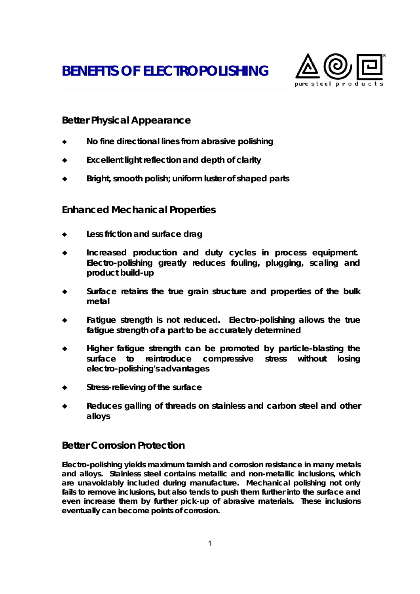**BENEFITS OF ELECTROPOLISHING**



## **Better Physical Appearance**

- ♦ **No fine directional lines from abrasive polishing**
- **Excellent light reflection and depth of clarity**
- Bright, smooth polish; uniform luster of shaped parts

### **Enhanced Mechanical Properties**

- Less friction and surface drag
- ♦ **Increased production and duty cycles in process equipment. Electro-polishing greatly reduces fouling, plugging, scaling and product build-up**
- Surface retains the true grain structure and properties of the bulk **metal**
- ♦ **Fatigue strength is not reduced***.* **Electro-polishing allows the true fatigue strength of a part to be accurately determined**
- Higher fatigue strength can be promoted by particle-blasting the **surface to reintroduce compressive stress without losing electro-polishing's advantages**
- Stress-relieving of the surface
- Reduces galling of threads on stainless and carbon steel and other **alloys**

### **Better Corrosion Protection**

**Electro-polishing yields maximum tarnish and corrosion resistance in many metals and alloys. Stainless steel contains metallic and non-metallic inclusions, which are unavoidably included during manufacture. Mechanical polishing not only fails to remove inclusions, but also tends to push them further into the surface and even increase them by further pick-up of abrasive materials. These inclusions eventually can become points of corrosion.**